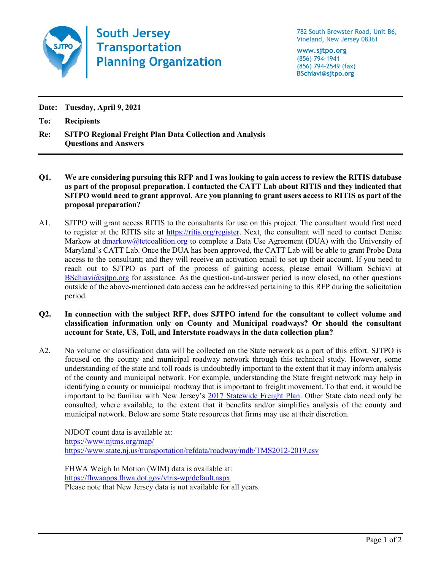

South Jersey **Transportation** Planning Organization

782 South Brewster Road, Unit B6, Vineland, New Jersey 08361

www.sjtpo.org (856) 794-1941 (856) 794-2549 (fax) BSchiavi@sjtpo.org

Date: Tuesday, April 9, 2021

To: Recipients

Re: SJTPO Regional Freight Plan Data Collection and Analysis Questions and Answers

- Q1. We are considering pursuing this RFP and I was looking to gain access to review the RITIS database as part of the proposal preparation. I contacted the CATT Lab about RITIS and they indicated that SJTPO would need to grant approval. Are you planning to grant users access to RITIS as part of the proposal preparation?
- A1. SJTPO will grant access RITIS to the consultants for use on this project. The consultant would first need to register at the RITIS site at https://ritis.org/register. Next, the consultant will need to contact Denise Markow at dmarkow@tetcoalition.org to complete a Data Use Agreement (DUA) with the University of Maryland's CATT Lab. Once the DUA has been approved, the CATT Lab will be able to grant Probe Data access to the consultant; and they will receive an activation email to set up their account. If you need to reach out to SJTPO as part of the process of gaining access, please email William Schiavi at BSchiavi@sjtpo.org for assistance. As the question-and-answer period is now closed, no other questions outside of the above-mentioned data access can be addressed pertaining to this RFP during the solicitation period.
- Q2. In connection with the subject RFP, does SJTPO intend for the consultant to collect volume and classification information only on County and Municipal roadways? Or should the consultant account for State, US, Toll, and Interstate roadways in the data collection plan?
- A2. No volume or classification data will be collected on the State network as a part of this effort. SJTPO is focused on the county and municipal roadway network through this technical study. However, some understanding of the state and toll roads is undoubtedly important to the extent that it may inform analysis of the county and municipal network. For example, understanding the State freight network may help in identifying a county or municipal roadway that is important to freight movement. To that end, it would be important to be familiar with New Jersey's 2017 Statewide Freight Plan. Other State data need only be consulted, where available, to the extent that it benefits and/or simplifies analysis of the county and municipal network. Below are some State resources that firms may use at their discretion.

NJDOT count data is available at: https://www.njtms.org/map/ https://www.state.nj.us/transportation/refdata/roadway/mdb/TMS2012-2019.csv

FHWA Weigh In Motion (WIM) data is available at: https://fhwaapps.fhwa.dot.gov/vtris-wp/default.aspx Please note that New Jersey data is not available for all years.